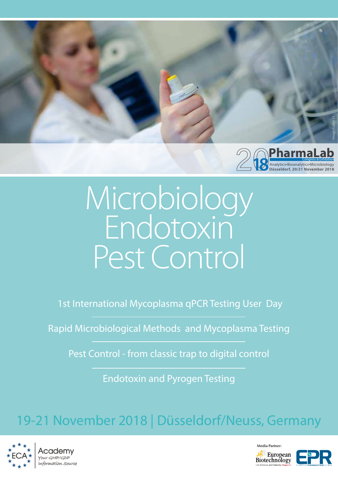

# Microbiology Endotoxin Pest Control

1st International Mycoplasma qPCR Testing User Day

Rapid Microbiological Methods and Mycoplasma Testing

Pest Control - from classic trap to digital control

Endotoxin and Pyrogen Testing

# 19-21 November 2018 | Düsseldorf/Neuss, Germany



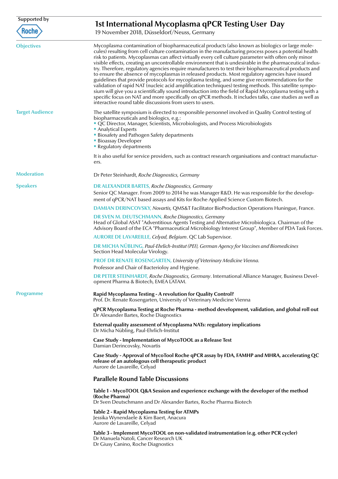| Supported by<br><b>Roche</b> | 1st International Mycoplasma qPCR Testing User Day<br>19 November 2018, Düsseldorf/Neuss, Germany                                                                                                                                                                                                                                                                                                                                                                                                                                                                                                                                                                                                                                                                                                                                                                                                                                                                                                                                                                                                                                          |
|------------------------------|--------------------------------------------------------------------------------------------------------------------------------------------------------------------------------------------------------------------------------------------------------------------------------------------------------------------------------------------------------------------------------------------------------------------------------------------------------------------------------------------------------------------------------------------------------------------------------------------------------------------------------------------------------------------------------------------------------------------------------------------------------------------------------------------------------------------------------------------------------------------------------------------------------------------------------------------------------------------------------------------------------------------------------------------------------------------------------------------------------------------------------------------|
| <b>Objectives</b>            | Mycoplasma contamination of biopharmaceutical products (also known as biologics or large mole-<br>cules) resulting from cell culture contamination in the manufacturing process poses a potential health<br>risk to patients. Mycoplasmas can affect virtually every cell culture parameter with often only minor<br>visible effects, creating an uncontrollable environment that is undesirable in the pharmaceutical indus-<br>try. Therefore, regulatory agencies require manufacturers to test their biopharmaceutical products and<br>to ensure the absence of mycoplasmas in released products. Most regulatory agencies have issued<br>guidelines that provide protocols for mycoplasma testing, and some give recommendations for the<br>validation of rapid NAT (nucleic acid amplification techniques) testing methods. This satellite sympo-<br>sium will give you a scientifically sound introduction into the field of Rapid Mycoplasma testing with a<br>specific focus on NAT and more specifically on qPCR methods. It includes talks, case studies as well as<br>interactive round table discussions from users to users. |
| <b>Target Audience</b>       | The satellite symposium is directed to responsible personnel involved in Quality Control testing of<br>biopharmaceuticals and biologics, e.g.:<br>" QC Director, Manager, Scientists, Microbiologists, and Process Microbiologists<br>• Analytical Experts<br><b>Biosafety and Pathogen Safety departments</b><br><b>Bioassay Developer</b><br><b>- Regulatory departments</b>                                                                                                                                                                                                                                                                                                                                                                                                                                                                                                                                                                                                                                                                                                                                                             |
|                              | It is also useful for service providers, such as contract research organisations and contract manufactur-<br>ers.                                                                                                                                                                                                                                                                                                                                                                                                                                                                                                                                                                                                                                                                                                                                                                                                                                                                                                                                                                                                                          |
| <b>Moderation</b>            | Dr Peter Steinhardt, Roche Diagnostics, Germany                                                                                                                                                                                                                                                                                                                                                                                                                                                                                                                                                                                                                                                                                                                                                                                                                                                                                                                                                                                                                                                                                            |
| <b>Speakers</b>              | <b>DR ALEXANDER BARTES, Roche Diagnostics, Germany</b><br>Senior QC Manager. From 2009 to 2014 he was Manager R&D. He was responsible for the develop-<br>ment of qPCR/NAT based assays and Kits for Roche Applied Science Custom Biotech.                                                                                                                                                                                                                                                                                                                                                                                                                                                                                                                                                                                                                                                                                                                                                                                                                                                                                                 |
|                              | DAMIAN DERINCOVSKY, Novartis, QMS&T Facilitator BioProduction Operations Huningue, France.                                                                                                                                                                                                                                                                                                                                                                                                                                                                                                                                                                                                                                                                                                                                                                                                                                                                                                                                                                                                                                                 |
|                              | DR SVEN M. DEUTSCHMANN, Roche Diagnostics, Germany<br>Head of Global ASAT "Adventitious Agents Testing and Alternative Microbiologica. Chairman of the<br>Advisory Board of the ECA "Pharmaceutical Microbiology Interest Group", Member of PDA Task Forces.                                                                                                                                                                                                                                                                                                                                                                                                                                                                                                                                                                                                                                                                                                                                                                                                                                                                               |
|                              | AURORE DE LAVAREILLE, Celyad, Belgium. QC Lab Supervisor.                                                                                                                                                                                                                                                                                                                                                                                                                                                                                                                                                                                                                                                                                                                                                                                                                                                                                                                                                                                                                                                                                  |
|                              | DR MICHA NÜBLING, Paul-Ehrlich-Institut (PEI), German Agency for Vaccines and Biomedicines<br>Section Head Molecular Virology.                                                                                                                                                                                                                                                                                                                                                                                                                                                                                                                                                                                                                                                                                                                                                                                                                                                                                                                                                                                                             |
|                              | PROF DR RENATE ROSENGARTEN, University of Veterinary Medicine Vienna.<br>Professor and Chair of Bacterioloy and Hygiene.                                                                                                                                                                                                                                                                                                                                                                                                                                                                                                                                                                                                                                                                                                                                                                                                                                                                                                                                                                                                                   |
|                              | DR PETER STEINHARDT, Roche Diagnostics, Germany. International Alliance Manager, Business Devel-<br>opment Pharma & Biotech, EMEA LATAM.                                                                                                                                                                                                                                                                                                                                                                                                                                                                                                                                                                                                                                                                                                                                                                                                                                                                                                                                                                                                   |
| <b>Programme</b>             | Rapid Mycoplasma Testing - A revolution for Quality Control?<br>Prof. Dr. Renate Rosengarten, University of Veterinary Medicine Vienna                                                                                                                                                                                                                                                                                                                                                                                                                                                                                                                                                                                                                                                                                                                                                                                                                                                                                                                                                                                                     |
|                              | qPCR Mycoplasma Testing at Roche Pharma - method development, validation, and global roll out<br>Dr Alexander Bartes, Roche Diagnostics                                                                                                                                                                                                                                                                                                                                                                                                                                                                                                                                                                                                                                                                                                                                                                                                                                                                                                                                                                                                    |
|                              | External quality assessment of Mycoplasma NATs: regulatory implications<br>Dr Micha Nübling, Paul-Ehrlich-Institut                                                                                                                                                                                                                                                                                                                                                                                                                                                                                                                                                                                                                                                                                                                                                                                                                                                                                                                                                                                                                         |
|                              | Case Study - Implementation of MycoTOOL as a Release Test<br>Damian Derincovsky, Novartis                                                                                                                                                                                                                                                                                                                                                                                                                                                                                                                                                                                                                                                                                                                                                                                                                                                                                                                                                                                                                                                  |
|                              | Case Study - Approval of MycoTool Roche qPCR assay by FDA, FAMHP and MHRA, accelerating QC<br>release of an autologous cell therapeutic product<br>Aurore de Lavareille, Celyad                                                                                                                                                                                                                                                                                                                                                                                                                                                                                                                                                                                                                                                                                                                                                                                                                                                                                                                                                            |
|                              | <b>Parallele Round Table Discussions</b>                                                                                                                                                                                                                                                                                                                                                                                                                                                                                                                                                                                                                                                                                                                                                                                                                                                                                                                                                                                                                                                                                                   |
|                              | Table 1 - MycoTOOL Q&A Session and experience exchange with the developer of the method<br>(Roche Pharma)<br>Dr Sven Deutschmann and Dr Alexander Bartes, Roche Pharma Biotech                                                                                                                                                                                                                                                                                                                                                                                                                                                                                                                                                                                                                                                                                                                                                                                                                                                                                                                                                             |
|                              | Table 2 - Rapid Mycoplasma Testing for ATMPs<br>Jessika Wynendaele & Kim Baert, Anacura<br>Aurore de Lavareille, Celyad                                                                                                                                                                                                                                                                                                                                                                                                                                                                                                                                                                                                                                                                                                                                                                                                                                                                                                                                                                                                                    |
|                              | Table 3 - Implement MycoTOOL on non-validated instrumentation (e.g. other PCR cycler)<br>Dr Manuela Natoli, Cancer Research UK<br>Dr Giusy Canino, Roche Diagnostics                                                                                                                                                                                                                                                                                                                                                                                                                                                                                                                                                                                                                                                                                                                                                                                                                                                                                                                                                                       |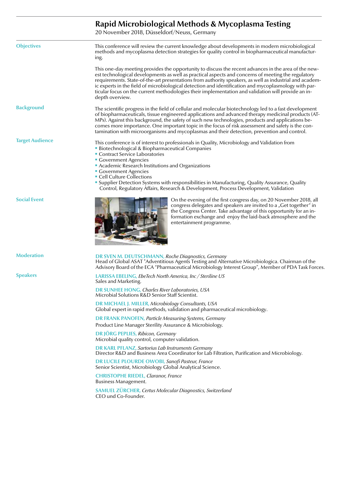# **Rapid Microbiological Methods & Mycoplasma Testing**

20 November 2018, Düsseldorf/Neuss, Germany

| This conference will review the current knowledge about developments in modern microbiological<br>methods and mycoplasma detection strategies for quality control in biopharmaceutical manufactur-<br>ing.                                                                                                                                                                                                                                                                                                                                             |
|--------------------------------------------------------------------------------------------------------------------------------------------------------------------------------------------------------------------------------------------------------------------------------------------------------------------------------------------------------------------------------------------------------------------------------------------------------------------------------------------------------------------------------------------------------|
| This one-day meeting provides the opportunity to discuss the recent advances in the area of the new-<br>est technological developments as well as practical aspects and concerns of meeting the regulatory<br>requirements. State-of-the-art presentations from authority speakers, as well as industrial and academ-<br>ic experts in the field of microbiological detection and identification and mycoplasmology with par-<br>ticular focus on the current methodologies their implementation and validation will provide an in-<br>depth overview. |
| The scientific progress in the field of cellular and molecular biotechnology led to a fast development<br>of biopharmaceuticals, tissue engineered applications and advanced therapy medicinal products (AT-<br>MPs). Against this background, the safety of such new technologies, products and applications be-<br>comes more importance. One important topic in the focus of risk assessment and safety is the con-<br>tamination with microorganisms and mycoplasmas and their detection, prevention and control.                                  |
| This conference is of interest to professionals in Quality, Microbiology and Validation from<br><b>Biotechnological &amp; Biopharmaceutical Companies</b><br>Contract Service Laboratories<br><b>Government Agencies</b><br>Academic Research Institutions and Organizations<br><b>Government Agencies</b><br>• Cell Culture Collections<br>" Supplier Detection Systems with responsibilities in Manufacturing, Quality Assurance, Quality<br>Control, Regulatory Affairs, Research & Development, Process Development, Validation                    |
| On the evening of the first congress day, on 20 November 2018, all<br>congress delegates and speakers are invited to a "Get together" in<br>the Congress Center. Take advantage of this opportunity for an in-<br>formation exchange and enjoy the laid-back atmosphere and the<br>entertainment programme.                                                                                                                                                                                                                                            |
| DR SVEN M. DEUTSCHMANN, Roche Diagnostics, Germany<br>Head of Global ASAT "Adventitious Agents Testing and Alternative Microbiologica. Chairman of the<br>Advisory Board of the ECA "Pharmaceutical Microbiology Interest Group", Member of PDA Task Forces.                                                                                                                                                                                                                                                                                           |
| LARISSA EBELING, EbeTech North America, Inc / Steriline US<br>Sales and Marketing.                                                                                                                                                                                                                                                                                                                                                                                                                                                                     |
| DR SUNHEE HONG, Charles River Laboratories, USA<br>Microbial Solutions R&D Senior Staff Scientist.                                                                                                                                                                                                                                                                                                                                                                                                                                                     |
| <b>DR MICHAEL J. MILLER, Microbiology Consultants, USA</b><br>Global expert in rapid methods, validation and pharmaceutical microbiology.                                                                                                                                                                                                                                                                                                                                                                                                              |
| <b>DR FRANK PANOFEN, Particle Measuring Systems, Germany</b><br>Product Line Manager Sterility Assurance & Microbiology.                                                                                                                                                                                                                                                                                                                                                                                                                               |
| <b>DR JÖRG PEPLIES, Ribicon, Germany</b><br>Microbial quality control, computer validation.                                                                                                                                                                                                                                                                                                                                                                                                                                                            |
| <b>DR KARL PFLANZ, Sartorius Lab Instruments Germany</b><br>Director R&D and Business Area Coordinator for Lab Filtration, Purification and Microbiology.                                                                                                                                                                                                                                                                                                                                                                                              |
| <b>DR LUCILE PLOURDE OWOBI, Sanofi Pasteur, France</b><br>Senior Scientist, Microbiology Global Analytical Science.                                                                                                                                                                                                                                                                                                                                                                                                                                    |
| <b>CHRISTOPHE RIEDEL, Claranor, France</b><br>Business Management.                                                                                                                                                                                                                                                                                                                                                                                                                                                                                     |
| SAMUEL ZÜRCHER, Certus Molecular Diagnostics, Switzerland<br>CEO und Co-Founder.                                                                                                                                                                                                                                                                                                                                                                                                                                                                       |
|                                                                                                                                                                                                                                                                                                                                                                                                                                                                                                                                                        |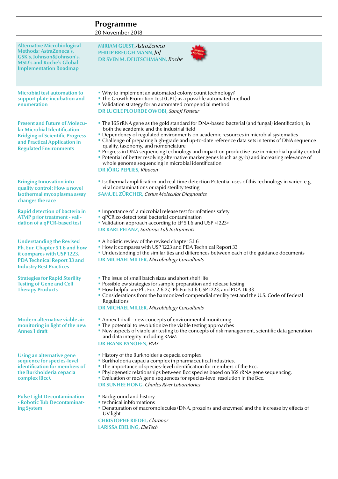# **Programme**

20 November 2018

| <b>Alternative Microbiological</b><br><b>Methods: AstraZeneca's,</b><br>GSK's, Johnson&Johnson's,<br><b>MSD's and Roche's Global</b><br><b>Implementation Roadmap</b>             | <b>MIRIAM GUEST, AstraZeneca</b><br><b>PHILIP BREUGELMANN, JnJ</b><br>DR SVEN M. DEUTSCHMANN, Roche                                                                                                                                                                                                                                                                                                                                                                                                                                                                                                                                                                                   |
|-----------------------------------------------------------------------------------------------------------------------------------------------------------------------------------|---------------------------------------------------------------------------------------------------------------------------------------------------------------------------------------------------------------------------------------------------------------------------------------------------------------------------------------------------------------------------------------------------------------------------------------------------------------------------------------------------------------------------------------------------------------------------------------------------------------------------------------------------------------------------------------|
| <b>Microbial test automation to</b><br>support plate incubation and<br>enumeration                                                                                                | • Why to implement an automated colony count technology?<br>• The Growth Promotion Test (GPT) as a possible automated method<br>• Validation strategy for an automated compendial method<br><b>DR LUCILE PLOURDE OWOBI, Sanofi Pasteur</b>                                                                                                                                                                                                                                                                                                                                                                                                                                            |
| <b>Present and Future of Molecu-</b><br>lar Microbial Identification -<br><b>Bridging of Scientific Progress</b><br>and Practical Application in<br><b>Regulated Environments</b> | • The 16S rRNA gene as the gold standard for DNA-based bacterial (and fungal) identification, in<br>both the academic and the industrial field<br>• Dependency of regulated environments on academic resources in microbial systematics<br>• Challenge of preparing high-grade and up-to-date reference data sets in terms of DNA sequence<br>quality, taxonomy, and nomenclature<br>Progress in DNA sequencing technology and impact on productive use in microbial quality control<br>" Potential of better resolving alternative marker genes (such as gyrb) and increasing relevance of<br>whole genome sequencing in microbial identification<br><b>DR JÖRG PEPLIES, Ribocon</b> |
| <b>Bringing Innovation into</b><br>quality control: How a novel<br>Isothermal mycoplasma assay<br>changes the race                                                                | I sothermal amplification and real-time detection Potential uses of this technology in varied e.g.<br>viral contaminations or rapid sterility testing<br><b>SAMUEL ZÜRCHER, Certus Molecular Diagnostics</b>                                                                                                                                                                                                                                                                                                                                                                                                                                                                          |
| Rapid detection of bacteria in<br><b>ATMP</b> prior treatment - vali-<br>dation of a qPCR-based test                                                                              | Importance of a microbial release test for mPatiens safety<br><b>qPCR</b> zo detect total bacterial contamination<br>• Validation approach according to EP 5.1.6 and USP <1223><br><b>DR KARL PFLANZ, Sartorius Lab Instruments</b>                                                                                                                                                                                                                                                                                                                                                                                                                                                   |
| <b>Understanding the Revised</b><br>Ph. Eur. Chapter 5.1.6 and how<br>it compares with USP 1223,<br><b>PDA Technical Report 33 and</b><br><b>Industry Best Practices</b>          | A holistic review of the revised chapter 5.1.6<br>• How it compares with USP 1223 and PDA Technical Report 33<br>" Understanding of the similarities and differences between each of the guidance documents<br><b>DR MICHAEL MILLER, Microbiology Consultants</b>                                                                                                                                                                                                                                                                                                                                                                                                                     |
| <b>Strategies for Rapid Sterility</b><br><b>Testing of Gene and Cell</b><br><b>Therapy Products</b>                                                                               | • The issue of small batch sizes and short shelf life<br>• Possible ew strategies for sample preparation and release testing<br>• How helpful are Ph. Eur. 2.6.27, Ph. Eur 5.1.6 USP 1223, and PDA TR 33<br>Considerations from the harmonized compendial sterility test and the U.S. Code of Federal<br>Regulations<br><b>DR MICHAEL MILLER, Microbiology Consultants</b>                                                                                                                                                                                                                                                                                                            |
| Modern alternative viable air<br>monitoring in light of the new<br>Annex 1 draft                                                                                                  | Annex 1 draft - new concepts of environmental monitoring<br>• The potential to revolutionize the viable testing approaches<br>• New aspects of viable air testing to the concepts of risk management, scientific data generation<br>and data integrity including RMM<br><b>DR FRANK PANOFEN, PMS</b>                                                                                                                                                                                                                                                                                                                                                                                  |
| Using an alternative gene<br>sequence for species-level<br>identification for members of<br>the Burkholderia cepacia<br>complex (Bcc).                                            | • History of the Burkholderia cepacia complex.<br><b>Burkholderia capacia complex in pharmaceutical industries.</b><br>• The importance of species-level identification for members of the Bcc.<br><b>Phylogenetic relationships between Bcc species based on 16S rRNA gene sequencing.</b><br>• Evaluation of recA gene sequences for species-level resolution in the Bcc.<br><b>DR SUNHEE HONG, Charles River Laboratories</b>                                                                                                                                                                                                                                                      |
| <b>Pulse Light Decontamination</b><br>- Robotic Tub Decontaminat-<br>ing System                                                                                                   | <b>Background and history</b><br><b>Exercise Exercise 1</b> technical inbformations<br><b>• Denaturation of macromolecules (DNA, prozeins and enzymes) and the increase by effects of</b><br>UV light<br><b>CHRISTOPHE RIEDEL, Claranor</b><br>LARISSA EBELING, EbeTech                                                                                                                                                                                                                                                                                                                                                                                                               |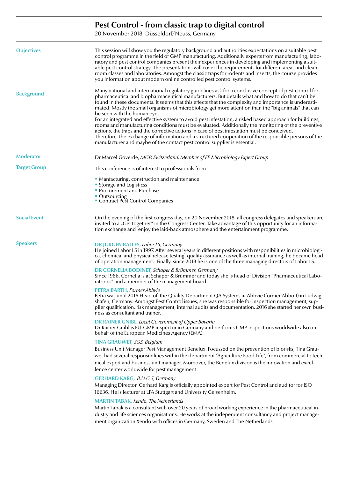# **Pest Control - from classic trap to digital control**

20 November 2018, Düsseldorf/Neuss, Germany

| <b>Objectives</b>   | This session will show you the regulatory background and authorities expectations on a suitable pest<br>control programme in the field of GMP manufacturing. Additionally experts from manufacturing, labo-<br>ratory and pest control companies present their experiences in developing and implementing a suit-<br>able pest control strategy. The presentations will cover the requirements for different areas and clean-<br>room classes and laboratories. Amongst the classic traps for rodents and insects, the course provides<br>you information about modern online controlled pest control systems.                                                                                                                                                                                                                                                                                                                                                       |
|---------------------|----------------------------------------------------------------------------------------------------------------------------------------------------------------------------------------------------------------------------------------------------------------------------------------------------------------------------------------------------------------------------------------------------------------------------------------------------------------------------------------------------------------------------------------------------------------------------------------------------------------------------------------------------------------------------------------------------------------------------------------------------------------------------------------------------------------------------------------------------------------------------------------------------------------------------------------------------------------------|
| <b>Background</b>   | Many national and international regulatory guidelines ask for a conclusive concept of pest control for<br>pharmaceutical and biopharmaceutical manufacturers. But details what and how to do that can't be<br>found in these documents. It seems that this effects that the complexity and importance is underesti-<br>mated. Mostly the small organisms of microbiology get more attention than the "big animals" that can<br>be seen with the human eyes.<br>For an integrated and effective system to avoid pest infestation, a risked based approach for buildings,<br>rooms and manufacturing conditions must be evaluated. Additionally the monitoring of the preventive<br>actions, the traps and the corrective actions in case of pest infestation must be conceived.<br>Therefore, the exchange of information and a structured cooperation of the responsible persons of the<br>manufacturer and maybe of the contact pest control supplier is essential. |
| <b>Moderator</b>    | Dr Marcel Goverde, MGP, Switzerland, Member of EP Microbiology Expert Group                                                                                                                                                                                                                                                                                                                                                                                                                                                                                                                                                                                                                                                                                                                                                                                                                                                                                          |
| <b>Target Group</b> | This conference is of interest to professionals from                                                                                                                                                                                                                                                                                                                                                                                                                                                                                                                                                                                                                                                                                                                                                                                                                                                                                                                 |
|                     | • Manfacturing, construction and maintenance<br><b>Storage and Logisticss</b><br>• Procurement and Purchase<br>■ Outsourcing<br>■ Contract Pest Control Companies                                                                                                                                                                                                                                                                                                                                                                                                                                                                                                                                                                                                                                                                                                                                                                                                    |
| <b>Social Event</b> | On the evening of the first congress day, on 20 November 2018, all congress delegates and speakers are<br>invited to a "Get together" in the Congress Center. Take advantage of this opportunity for an informa-<br>tion exchange and enjoy the laid-back atmosphere and the entertainment programme.                                                                                                                                                                                                                                                                                                                                                                                                                                                                                                                                                                                                                                                                |
| <b>Speakers</b>     | <b>DR JÜRGEN BALLES, Labor LS, Germany</b><br>He joined Labor LS in 1997. After several years in different positions with responibilities in microbiologi-<br>ca, chemical and physical release testing, quality assurance as well as internal training, he became head<br>of operation management. Finally, since 2018 he is one of the three managing directors of Labor LS.                                                                                                                                                                                                                                                                                                                                                                                                                                                                                                                                                                                       |
|                     | DR CORNELIA BODINET, Schaper & Brümmer, Germany<br>Since 1986, Cornelia is at Schaper & Brümmer and today she is head of Division "Pharmaceutical Labo-<br>ratories" and a member of the management board.                                                                                                                                                                                                                                                                                                                                                                                                                                                                                                                                                                                                                                                                                                                                                           |
|                     | <b>PETRA BARTH, Former Abbvie</b><br>Petra was until 2016 Head of the Quality Department QA Systems at Abbvie (former Abbott) in Ludwig-<br>shafen, Germany. Amongst Pest Control issues, she was responsible for inspection management, sup-<br>plier qualification, risk management, internal audits and documentation. 2016 she started her own busi-<br>ness as consultant and trainer.                                                                                                                                                                                                                                                                                                                                                                                                                                                                                                                                                                          |
|                     | <b>DR RAINER GNIBL, Local Government of Upper Bavaria</b><br>Dr Rainer Gnibl is EU-GMP inspector in Germany and performs GMP inspections worldwide also on<br>behalf of the European Medicines Agency (EMA).                                                                                                                                                                                                                                                                                                                                                                                                                                                                                                                                                                                                                                                                                                                                                         |
|                     | TINA GRAUWET, SGS, Belgium<br>Business Unit Manager Pest Management Benelux. Focussed on the prevention of biorisks, Tina Grau-<br>wet had several responsibilities within the department "Agriculture Food Life", from commercial to tech-<br>nical expert and business unit manager. Moreover, the Benelux division is the innovation and excel-<br>lence center worldwide for pest management                                                                                                                                                                                                                                                                                                                                                                                                                                                                                                                                                                     |
|                     | <b>GERHARD KARG, B.U.G.S, Germany</b><br>Managing Director. Gerhard Karg is officially appointed expert for Pest Control and auditor for ISO<br>16636. He is lecturer at LFA Stuttgart and University Geisenheim.                                                                                                                                                                                                                                                                                                                                                                                                                                                                                                                                                                                                                                                                                                                                                    |
|                     | <b>MARTIN TABAK, Xendo, The Netherlands</b><br>Martin Tabak is a consultant with over 20 years of broad working experience in the pharmaceutical in-<br>dustry and life sciences organisations. He works at the independent consultancy and project manage-<br>ment organization Xendo with offices in Germany, Sweden and The Netherlands                                                                                                                                                                                                                                                                                                                                                                                                                                                                                                                                                                                                                           |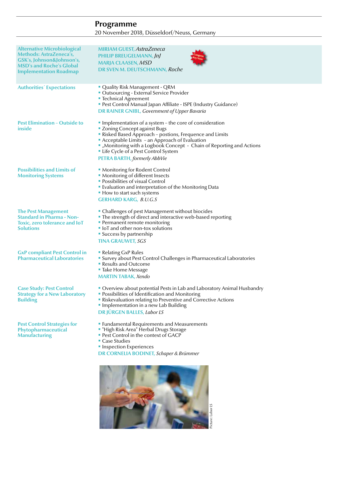### **Programme** 20 November 2018, Düsseldorf/Neuss, Germany

| <b>Alternative Microbiological</b><br><b>Methods: AstraZeneca's,</b><br>GSK's, Johnson&Johnson's,<br><b>MSD's and Roche's Global</b><br><b>Implementation Roadmap</b> | <b>MIRIAM GUEST, AstraZeneca</b><br><b>PHILIP BREUGELMANN, JnJ</b><br><b>MARJA CLAASEN, MSD</b><br>DR SVEN M. DEUTSCHMANN, Roche                                                                                                                                                                                                                          |
|-----------------------------------------------------------------------------------------------------------------------------------------------------------------------|-----------------------------------------------------------------------------------------------------------------------------------------------------------------------------------------------------------------------------------------------------------------------------------------------------------------------------------------------------------|
| <b>Authorities</b> Expectations                                                                                                                                       | " Quality Risk Management - QRM<br>Outsourcing - External Service Provider<br>■ Technical Agreement<br>Pest Control Manual Japan Affiliate - ISPE (Industry Guidance)<br><b>DR RAINER GNIBL, Government of Upper Bavaria</b>                                                                                                                              |
| <b>Pest Elimination - Outside to</b><br>inside                                                                                                                        | Implementation of a system - the core of consideration<br>" Zoning Concept against Bugs<br>Risked Based Approach - postions, Frequence and Limits<br>Acceptable Limits - an Approach of Evaluation<br>" "Monitoring with a Logbook Concept - Chain of Reporting and Actions<br>Life Cycle of a Pest Control System<br><b>PETRA BARTH, formerly AbbVie</b> |
| <b>Possibilities and Limits of</b><br><b>Monitoring Systems</b>                                                                                                       | • Monitoring for Rodent Control<br>• Monitoring of different Insects<br><b>- Possibilities of visual Control</b><br><b>Evaluation and interpretation of the Monitoring Data</b><br>• How to start such systems<br><b>GERHARD KARG, B.U.G.S</b>                                                                                                            |
| <b>The Pest Management</b><br><b>Standard in Pharma - Non-</b><br>Toxic, zero tolerance and IoT<br><b>Solutions</b>                                                   | • Challenges of pest Management without biocides<br>• The strength of direct and interactive web-based reporting<br>• Permanent remote monitoring<br>IoT and other non-tox solutions<br>• Success by partnership<br><b>TINA GRAUWET, SGS</b>                                                                                                              |
| <b>GxP</b> compliant Pest Control in<br><b>Pharmaceutical Laboratories</b>                                                                                            | • Relating GxP Rules<br>• Survey about Pest Control Challenges in Pharmaceutical Laboratories<br>Results and Outcome<br>■ Take Home Message<br><b>MARTIN TABAK, Xendo</b>                                                                                                                                                                                 |
| <b>Case Study: Pest Control</b><br><b>Strategy for a New Laboratory</b><br><b>Building</b>                                                                            | • Overview about potential Pests in Lab and Laboratory Animal Husbandry<br>• Possibilities of Identification and Monitoring<br>Riskevaluation relating to Preventive and Corrective Actions<br>Implementation in a new Lab Building<br><b>DR JÜRGEN BALLES, Labor LS</b>                                                                                  |
| <b>Pest Control Strategies for</b><br>Phytopharmaceutical<br><b>Manufacturing</b>                                                                                     | <b>Example 2 Fundamental Requirements and Measurements</b><br>" "High Risk Area" Herbal Drugs Storage<br><b>Pest Control in the context of GACP</b><br>$\blacksquare$ Case Studies<br><b>Inspection Experiences</b><br>DR CORNELIA BODINET, Schaper & Brümmer                                                                                             |
|                                                                                                                                                                       | Picture: Labor LS                                                                                                                                                                                                                                                                                                                                         |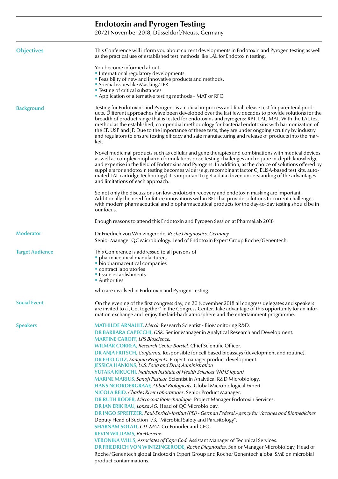# **Endotoxin and Pyrogen Testing**

20/21 November 2018, Düsseldorf/Neuss, Germany

| <b>Objectives</b>      | This Conference will inform you about current developments in Endotoxin and Pyrogen testing as well<br>as the practical use of established test methods like LAL for Endotoxin testing.                                                                                                                                                                                                                                                                                                                                                                                                                                                                   |
|------------------------|-----------------------------------------------------------------------------------------------------------------------------------------------------------------------------------------------------------------------------------------------------------------------------------------------------------------------------------------------------------------------------------------------------------------------------------------------------------------------------------------------------------------------------------------------------------------------------------------------------------------------------------------------------------|
|                        | You become informed about<br>• International regulatory developments<br><b>Example:</b> Feasibility of new and innovative products and methods.                                                                                                                                                                                                                                                                                                                                                                                                                                                                                                           |
|                        | • Special issues like Masking/LER<br><b>Testing of critical substances</b><br>Application of alternative testing methods - MAT or RFC                                                                                                                                                                                                                                                                                                                                                                                                                                                                                                                     |
| <b>Background</b>      | Testing for Endotoxins and Pyrogens is a critical in-process and final release test for parenteral prod-<br>ucts. Different approaches have been developed over the last few decades to provide solutions for the<br>breadth of product range that is tested for endotoxins and pyrogens: RPT, LAL, MAT. With the LAL test<br>method as the established, compendial methodology for bacterial endotoxins with harmonization of<br>the EP, USP and JP. Due to the importance of these tests, they are under ongoing scrutiny by industry<br>and regulators to ensure testing efficacy and safe manufacturing and release of products into the mar-<br>ket. |
|                        | Novel medicinal products such as cellular and gene therapies and combinations with medical devices<br>as well as complex biopharma formulations pose testing challenges and require in-depth knowledge<br>and expertise in the field of Endotoxins and Pyrogens. In addition, as the choice of solutions offered by<br>suppliers for endotoxin testing becomes wider (e.g. recombinant factor C, ELISA-based test kits, auto-<br>mated LAL cartridge technology) it is important to get a data driven understanding of the advantages<br>and limitations of each approach.                                                                                |
|                        | So not only the discussions on low endotoxin recovery and endotoxin masking are important.<br>Additionally the need for future innovations within BET that provide solutions to current challenges<br>with modern pharmaceutical and biopharmaceutical products for the day-to-day testing should be in<br>our focus.                                                                                                                                                                                                                                                                                                                                     |
|                        | Enough reasons to attend this Endotoxin and Pyrogen Session at PharmaLab 2018                                                                                                                                                                                                                                                                                                                                                                                                                                                                                                                                                                             |
| <b>Moderator</b>       | Dr Friedrich von Wintzingerode, Roche Diagnostics, Germany<br>Senior Manager QC Microbiology. Lead of Endotoxin Expert Group Roche/Genentech.                                                                                                                                                                                                                                                                                                                                                                                                                                                                                                             |
| <b>Target Audience</b> | This Conference is addressed to all persons of<br>• pharmaceutical manufacturers<br>• biopharmaceutical companies<br>contract laboratories<br>• tissue establishments<br>• Authorities                                                                                                                                                                                                                                                                                                                                                                                                                                                                    |
|                        | who are involved in Endotoxin and Pyrogen Testing.                                                                                                                                                                                                                                                                                                                                                                                                                                                                                                                                                                                                        |
| <b>Social Event</b>    | On the evening of the first congress day, on 20 November 2018 all congress delegates and speakers<br>are invited to a "Get together" in the Congress Center. Take advantage of this opportunity for an infor-<br>mation exchange and enjoy the laid-back atmosphere and the entertainment programme.                                                                                                                                                                                                                                                                                                                                                      |
| <b>Speakers</b>        | MATHILDE ARNAULT, Merck. Research Scientist - BioMonitoring R&D.<br>DR BARBARA CAPECCHI, GSK. Senior Manager in Analytical Research and Development.                                                                                                                                                                                                                                                                                                                                                                                                                                                                                                      |
|                        | <b>MARTINE CAROFF, LPS Bioscience.</b>                                                                                                                                                                                                                                                                                                                                                                                                                                                                                                                                                                                                                    |
|                        | WILMAR CORREA, Research Center Borstel. Chief Scientific Officer.<br>DR ANJA FRITSCH, Confarma. Responsible for cell based bioassays (development and routine).                                                                                                                                                                                                                                                                                                                                                                                                                                                                                           |
|                        | <b>DR EELO GITZ</b> , Sanquin Reagents. Project manager product development.<br><b>JESSICA HANKINS, U.S. Food and Drug Administration</b>                                                                                                                                                                                                                                                                                                                                                                                                                                                                                                                 |
|                        | YUTAKA KIKUCHI, National Institute of Health Sciences (NIHS Japan)                                                                                                                                                                                                                                                                                                                                                                                                                                                                                                                                                                                        |
|                        | MARINE MARIUS, Sanofi Pasteur. Scientist in Analytical R&D Microbiology.<br>HANS NOORDERGRAAF, Abbott Biologicals. Global Microbiological Expert.                                                                                                                                                                                                                                                                                                                                                                                                                                                                                                         |
|                        | NICOLA REID, Charles River Laboratories. Senior Product Manager.                                                                                                                                                                                                                                                                                                                                                                                                                                                                                                                                                                                          |
|                        | DR RUTH RÖDER, Microcoat Biotechnologie. Project Manager Endotoxin Services.                                                                                                                                                                                                                                                                                                                                                                                                                                                                                                                                                                              |
|                        | DR JAN ERIK RAU, Lonza AG. Head of QC Microbiology.<br>DR INGO SPREITZER, Paul-Ehrlich-Institut (PEI) - German Federal Agency for Vaccines and Biomedicines                                                                                                                                                                                                                                                                                                                                                                                                                                                                                               |
|                        | Deputy Head of Section 1/3, "Microbial Safety and Parasitology".                                                                                                                                                                                                                                                                                                                                                                                                                                                                                                                                                                                          |
|                        | SHABNAM SOLATI, CTL-MAT. Co-Founder and CEO.<br><b>KEVIN WILLIAMS, BioMerieux.</b>                                                                                                                                                                                                                                                                                                                                                                                                                                                                                                                                                                        |
|                        | VERONIKA WILLS, Associates of Cape Cod. Assistant Manager of Technical Services.                                                                                                                                                                                                                                                                                                                                                                                                                                                                                                                                                                          |
|                        | DR FRIEDRICH VON WINTZINGERODE, Roche Diagnostics. Senior Manager Microbiology, Head of                                                                                                                                                                                                                                                                                                                                                                                                                                                                                                                                                                   |
|                        | Roche/Genentech global Endotoxin Expert Group and Roche/Genentech global SME on microbial<br>product contaminations.                                                                                                                                                                                                                                                                                                                                                                                                                                                                                                                                      |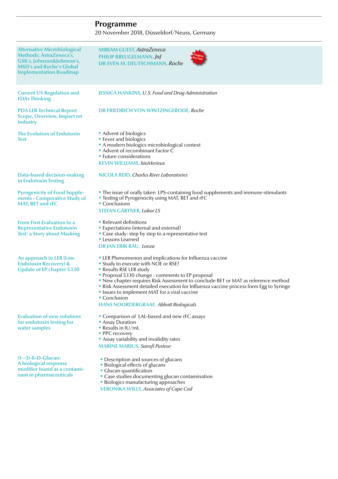## **Programme**

20 November 2018, Düsseldorf/Neuss, Germany

| <b>Alternative Microbiological</b><br><b>Methods: AstraZeneca's,</b><br>GSK's, Johnson&Johnson's,<br><b>MSD's and Roche's Global</b><br><b>Implementation Roadmap</b> | MIRIAM GUEST, AstraZeneca<br><b>PHILIP BREUGELMANN, JnJ</b><br>DR SVEN M. DEUTSCHMANN, Roche                                                                                                                                                                                                                                                                                                                                                                                                   |
|-----------------------------------------------------------------------------------------------------------------------------------------------------------------------|------------------------------------------------------------------------------------------------------------------------------------------------------------------------------------------------------------------------------------------------------------------------------------------------------------------------------------------------------------------------------------------------------------------------------------------------------------------------------------------------|
| <b>Current US Regulation and</b><br><b>FDAs Thinking</b>                                                                                                              | <b>JESSICA HANKINS, U.S. Food and Drug Administration</b>                                                                                                                                                                                                                                                                                                                                                                                                                                      |
| <b>PDA LER Technical Report</b><br><b>Scope, Overview, Impact on</b><br><b>Industry</b>                                                                               | DR FRIEDRICH VON WINTZINGERODE, Roche                                                                                                                                                                                                                                                                                                                                                                                                                                                          |
| <b>The Evolution of Endotoxin</b><br><b>Test</b>                                                                                                                      | Advent of biologics<br><b>Fever and biologics</b><br>A modern biologics microbiological context<br>Advent of recombinant Factor C<br><b>Euture considerations</b><br><b>KEVIN WILLIAMS, bioMerieux</b>                                                                                                                                                                                                                                                                                         |
| Data-based decision-making<br>in Endotoxin Testing                                                                                                                    | <b>NICOLA REID, Charles River Laboratories</b>                                                                                                                                                                                                                                                                                                                                                                                                                                                 |
| <b>Pyrogenicity of Food Supple-</b><br>ments - Comperative Study of<br><b>MAT, BET and rFC</b>                                                                        | • The issue of orally taken LPS-containing food supplements and immune-stimulants<br><b>Testing of Pyrogenocity using MAT, BET and rFC</b><br>• Conclusions<br><b>STEFAN GÄRTNER, Labor LS</b>                                                                                                                                                                                                                                                                                                 |
| <b>From First Evaluation to a</b><br><b>Representative Endotoxin</b><br><b>Test: a Story about Masking</b>                                                            | • Relevant definitions<br><b>Expectations (internal and external)</b><br>• Case study: step by step to a representative test<br><b>Lessons Learned</b><br><b>DR JAN ERIK RAU, Lonza</b>                                                                                                                                                                                                                                                                                                        |
| An approach to LER (Low<br><b>Endotoxin Recovery) &amp;</b><br><b>Update of EP chapter 5.1.10</b>                                                                     | • LER Phenomenon and implications for Influenza vaccine<br><b>Study to execute with NOE or RSE?</b><br>Results RSE LER study<br>Proposal 5.1.10 change : comments to EP proposal<br>New chapter requires Risk Assessment to conclude BET or MAT as reference method<br>Risk Assessment detailed execution for Influenza vaccine process form Egg to Syringe<br><b>Issues to implement MAT for a viral vaccine</b><br>$\blacksquare$ Conclusion<br><b>HANS NOORDERGRAAF, Abbott Biologicals</b> |
| <b>Evaluation of new solutions</b><br>for endotoxin testing for<br>water samples                                                                                      | • Comparison of LAL-based and new rFC assays<br>• Assay Duration<br>Results in $IU/mL$<br>• PPC recovery<br>Assay variability and invalidity rates<br><b>MARINE MARIUS, Sanofi Pasteur</b>                                                                                                                                                                                                                                                                                                     |
| $(1-3)$ -ß-D-Glucan:<br>A biological response<br>modifier found as a contami-<br>nant in pharmaceuticals                                                              | • Description and sources of glucans<br><b>Biological effects of glucans</b><br>• Glucan quantification<br>" Case studies documenting glucan contamination<br><b>Biologics manufacturing approaches</b>                                                                                                                                                                                                                                                                                        |

**VERONIKA WILLS,** *Associates of Cape Cod*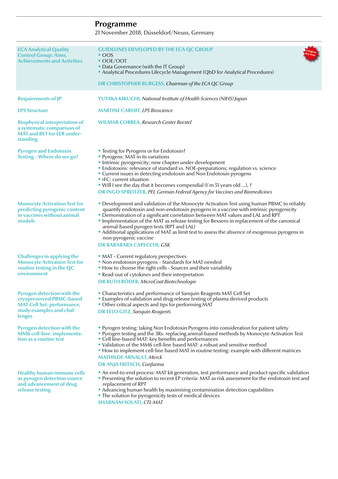# **Programme**

21 November 2018, Düsseldorf/Neuss, Germany

| <b>ECA Analytical Quality</b><br><b>Control Group: Aims,</b><br><b>Achievements and Activities</b>                                       | <b>GUIDELINES DEVELOPED BY THE ECA QC GROUP</b><br>$\sim$ OOS<br>OOE/OOT<br>• Data Governance (with the IT Group)<br>Analytical Procedures Lifecycle Management (QbD for Analytical Procedures)<br>DR CHRISTOPHER BURGESS, Chairman of the ECA QC Group                                                                                                                                                                                                                                                                                                                           |
|------------------------------------------------------------------------------------------------------------------------------------------|-----------------------------------------------------------------------------------------------------------------------------------------------------------------------------------------------------------------------------------------------------------------------------------------------------------------------------------------------------------------------------------------------------------------------------------------------------------------------------------------------------------------------------------------------------------------------------------|
| <b>Requirements of JP</b>                                                                                                                | <b>YUTAKA KIKUCHI</b> , National Institute of Health Sciences (NIHS) Japan                                                                                                                                                                                                                                                                                                                                                                                                                                                                                                        |
| <b>LPS Structure</b>                                                                                                                     | <b>MARTINE CAROFF, LPS Bioscience</b>                                                                                                                                                                                                                                                                                                                                                                                                                                                                                                                                             |
| <b>Biophysical interpretation of</b><br>a systematic comparison of<br><b>MAT and BET for LER under-</b><br>standing                      | <b>WILMAR CORREA, Research Center Borstel</b>                                                                                                                                                                                                                                                                                                                                                                                                                                                                                                                                     |
| <b>Pyrogen and Endotoxin</b><br>Testing - Where do we go?                                                                                | " Testing for Pyrogens or for Endotoxin?<br>• Pyrogens: MAT in its variations<br>Intrinsic pyrogenicity; new chapter under development<br>• Endotoxins: relevance of standard vs. NOE-preparations; regulation vs. science<br>■ Current issues in detecting endotoxin and Non Endotoxin pyrogens<br><b>F</b> rFC: current situation<br>• Will I see the day that it becomes compendial (I'm 51 years old ), ?<br><b>DR INGO SPREITZER, PEI, German Federal Agency for Vaccines and Biomedicines</b>                                                                               |
| <b>Monocyte Activation Test for</b><br>predicting pyrogenic content<br>in vaccines without animal<br>models                              | <b>• Development and validation of the Monocyte Activation Test using human PBMC to reliably</b><br>quantify endotoxin and non-endotoxin pyrogens in a vaccine with intrinsic pyrogenicity<br>• Demonstration of a significant correlation between MAT values and LAL and RPT<br>Implementation of the MAT as release testing for Bexsero in replacement of the canonical<br>animal-based pyrogen tests (RPT and LAL)<br>Additional applications of MAT as limit test to assess the absence of exogenous pyrogens in<br>non-pyrogenic vaccine<br><b>DR BARABARA CAPECCHI, GSK</b> |
| <b>Challenges in applying the</b><br><b>Monocyte Activation Test for</b><br>routine testing in the QC<br>environment                     | • MAT - Current regulatory perspectives<br>Non endotoxin pyrogens - Standards for MAT needed<br>• How to choose the right cells - Sources and their variability<br>Read-out of cytokines and their interpretation<br><b>DR RUTH RÖDER, MicroCoat Biotechnologie</b>                                                                                                                                                                                                                                                                                                               |
| <b>Pyrogen detection with the</b><br>cryopreserved PBMC-based<br><b>MAT Cell Set: performance,</b><br>study examples and chal-<br>lenges | • Characteristics and performance of Sanquin Reagents MAT Cell Set<br><b>Examples of validation and drug release testing of plasma derived products</b><br>• Other critical aspects and tips for performing MAT<br><b>DR EELO GITZ, Sanquin Reagents</b>                                                                                                                                                                                                                                                                                                                          |
| <b>Pyrogen detection with the</b><br>MM6 cell-line: implementa-<br>tion as a routine test                                                | • Pyrogen testing: taking Non Endotoxin Pyrogens into consideration for patient safety<br>Pyrogen testing and the 3Rs: replacing animal-based methods by Monocyte Activation Test<br>• Cell line-based MAT: key benefits and performances<br>• Validation of the MM6 cell-line based MAT: a robust and sensitive method<br>• How to implement cell-line based MAT in routine testing: example with different matrices<br><b>MATHILDE ARNAULT, Merck</b><br><b>DR ANJA FRITSCH, Confarma</b>                                                                                       |
| <b>Healthy human immune cells</b><br>as pyrogen detection source<br>and advancement of drug<br>release testing                           | An end-to-end process: MAT kit generation, test performance and product-specific validation<br>Presenting the solution to recent EP criteria: MAT as risk assessment for the endotoxin test and<br>replacement of RPT<br>Advancing human health by maximising contamination detection capabilities<br>• The solution for pyrogenicity tests of medical devices<br><b>SHABNAM SOLATI, CTL-MAT</b>                                                                                                                                                                                  |